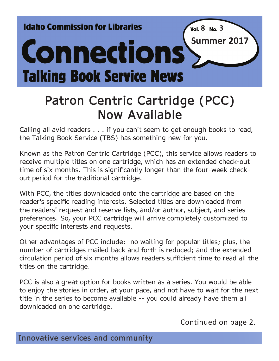**Idaho Commission for Libraries** 

# **Connections Talking Book Service News**

# **Patron Centric Cartridge (PCC) Now Available**

Calling all avid readers . . . if you can't seem to get enough books to read, the Talking Book Service (TBS) has something new for you.

Known as the Patron Centric Cartridge (PCC), this service allows readers to receive multiple titles on one cartridge, which has an extended check-out time of six months. This is significantly longer than the four-week checkout period for the traditional cartridge.

With PCC, the titles downloaded onto the cartridge are based on the reader's specific reading interests. Selected titles are downloaded from the readers' request and reserve lists, and/or author, subject, and series preferences. So, your PCC cartridge will arrive completely customized to your specific interests and requests.

Other advantages of PCC include: no waiting for popular titles; plus, the number of cartridges mailed back and forth is reduced; and the extended circulation period of six months allows readers sufficient time to read all the titles on the cartridge.

PCC is also a great option for books written as a series. You would be able to enjoy the stories in order, at your pace, and not have to wait for the next title in the series to become available -- you could already have them all downloaded on one cartridge.

Continued on page 2.

 $\sqrt{8}$  **No.** 3

**Summer 2017**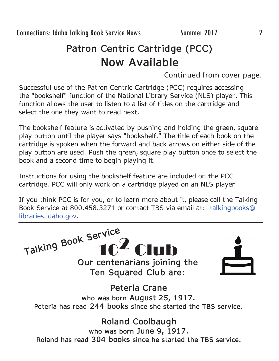# **Patron Centric Cartridge (PCC) Now Available**

Continued from cover page.

Successful use of the Patron Centric Cartridge (PCC) requires accessing the "bookshelf" function of the National Library Service (NLS) player. This function allows the user to listen to a list of titles on the cartridge and select the one they want to read next.

The bookshelf feature is activated by pushing and holding the green, square play button until the player says "bookshelf." The title of each book on the cartridge is spoken when the forward and back arrows on either side of the play button are used. Push the green, square play button once to select the book and a second time to begin playing it.

Instructions for using the bookshelf feature are included on the PCC cartridge. PCC will only work on a cartridge played on an NLS player.

If you think PCC is for you, or to learn more about it, please call the Talking Book Service at 800.458.3271 or contact TBS via email at: talkingbooks@ libraries.idaho.gov.

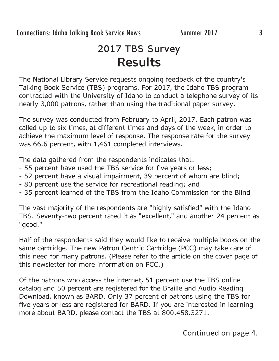# **2017 TBS Survey Results**

The National Library Service requests ongoing feedback of the country's Talking Book Service (TBS) programs. For 2017, the Idaho TBS program contracted with the University of Idaho to conduct a telephone survey of its nearly 3,000 patrons, rather than using the traditional paper survey.

The survey was conducted from February to April, 2017. Each patron was called up to six times, at different times and days of the week, in order to achieve the maximum level of response. The response rate for the survey was 66.6 percent, with 1,461 completed interviews.

The data gathered from the respondents indicates that:

- 55 percent have used the TBS service for five years or less;
- 52 percent have a visual impairment, 39 percent of whom are blind;
- 80 percent use the service for recreational reading; and
- 35 percent learned of the TBS from the Idaho Commission for the Blind

The vast majority of the respondents are "highly satisfied" with the Idaho TBS. Seventy-two percent rated it as "excellent," and another 24 percent as "good."

Half of the respondents said they would like to receive multiple books on the same cartridge. The new Patron Centric Cartridge (PCC) may take care of this need for many patrons. (Please refer to the article on the cover page of this newsletter for more information on PCC.)

Of the patrons who access the internet, 51 percent use the TBS online catalog and 50 percent are registered for the Braille and Audio Reading Download, known as BARD. Only 37 percent of patrons using the TBS for five years or less are registered for BARD. If you are interested in learning more about BARD, please contact the TBS at 800.458.3271.

Continued on page 4.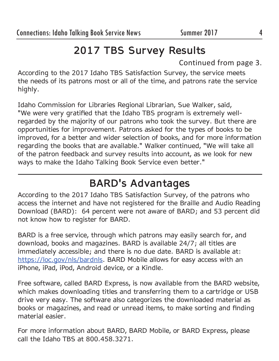# **2017 TBS Survey Results**

Continued from page 3.

According to the 2017 Idaho TBS Satisfaction Survey, the service meets the needs of its patrons most or all of the time, and patrons rate the service highly.

Idaho Commission for Libraries Regional Librarian, Sue Walker, said, "We were very gratified that the Idaho TBS program is extremely wellregarded by the majority of our patrons who took the survey. But there are opportunities for improvement. Patrons asked for the types of books to be improved, for a better and wider selection of books, and for more information regarding the books that are available." Walker continued, "We will take all of the patron feedback and survey results into account, as we look for new ways to make the Idaho Talking Book Service even better."

# **BARD's Advantages**

According to the 2017 Idaho TBS Satisfaction Survey, of the patrons who access the internet and have not registered for the Braille and Audio Reading Download (BARD): 64 percent were not aware of BARD; and 53 percent did not know how to register for BARD.

BARD is a free service, through which patrons may easily search for, and download, books and magazines. BARD is available 24/7; all titles are immediately accessible; and there is no due date. BARD is available at: https://loc.gov/nls/bardnls. BARD Mobile allows for easy access with an iPhone, iPad, iPod, Android device, or a Kindle.

Free software, called BARD Express, is now available from the BARD website, which makes downloading titles and transferring them to a cartridge or USB drive very easy. The software also categorizes the downloaded material as books or magazines, and read or unread items, to make sorting and finding material easier.

For more information about BARD, BARD Mobile, or BARD Express, please call the Idaho TBS at 800.458.3271.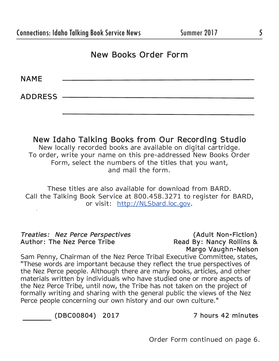#### **New Books Order Form**

**NAME** 

**ADDRESS** 

**New Idaho Talking Books from Our Recording Studio** New locally recorded books are available on digital cartridge. To order, write your name on this pre-addressed New Books Order Form, select the numbers of the titles that you want, and mail the form.

These titles are also available for download from BARD. Call the Talking Book Service at 800.458.3271 to register for BARD, or visit: http://NLSbard.loc.gov.

*Treaties: Nez Perce Perspectives* **(Adult Non-Fiction)**

**Read By: Nancy Rollins & Margo Vaughn-Nelson**

Sam Penny, Chairman of the Nez Perce Tribal Executive Committee, states, "These words are important because they reflect the true perspectives of the Nez Perce people. Although there are many books, articles, and other materials written by individuals who have studied one or more aspects of the Nez Perce Tribe, until now, the Tribe has not taken on the project of formally writing and sharing with the general public the views of the Nez Perce people concerning our own history and our own culture."

 **(DBC00804) 2017 7 hours 42 minutes**

Order Form continued on page 6.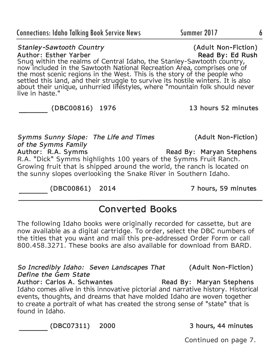Author: Carlos A. Schwantes **Read By: Maryan Stephens** Idaho comes alive in this innovative pictorial and narrative history. Historical events, thoughts, and dreams that have molded Idaho are woven together to create a portrait of what has created the strong sense of "state" that is

**(DBC07311) 2000 3 hours, 44 minutes**

*Define the Gem State* 

found in Idaho.

Continued on page 7.

*Stanley-Sawtooth Country* **(Adult Non-Fiction)**

**Author: Esther Yarber Read By: Ed Rush** Snug within the realms of Central Idaho, the Stanley-Sawtooth country, now included in the Sawtooth National Recreation Area, comprises one of the most scenic regions in the West. This is the story of the people who settled this land, and their struggle to survive its hostile winters. It is also about their unique, unhurried lifestyles, where "mountain folk should never live in haste."

#### **(DBC00816) 1976 13 hours 52 minutes**

*Symms Sunny Slope: The Life and Times* **(Adult Non-Fiction)** *of the Symms Family*  Author: R.A. Symms Read By: Maryan Stephens R.A. "Dick" Symms highlights 100 years of the Symms Fruit Ranch. Growing fruit that is shipped around the world, the ranch is located on the sunny slopes overlooking the Snake River in Southern Idaho.

**Converted Books** 

The following Idaho books were originally recorded for cassette, but are now available as a digital cartridge. To order, select the DBC numbers of the titles that you want and mail this pre-addressed Order Form or call 800.458.3271. These books are also available for download from BARD.

*So Incredibly Idaho: Seven Landscapes That* **(Adult Non-Fiction)**

**(DBC00861) 2014 7 hours, 59 minutes**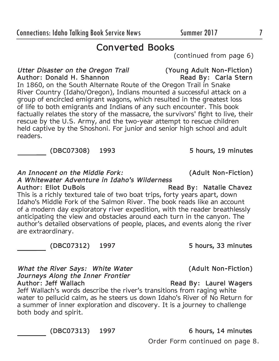Order Form continued on page 8.

**Converted Books** 

(continued from page 6)

*Utter Disaster on the Oregon Trail* **(Young Adult Non-Fiction) Author: Donald H. Shannon** 

In 1860, on the South Alternate Route of the Oregon Trail in Snake River Country (Idaho/Oregon), Indians mounted a successful attack on a group of encircled emigrant wagons, which resulted in the greatest loss of life to both emigrants and Indians of any such encounter. This book factually relates the story of the massacre, the survivors' fight to live, their rescue by the U.S. Army, and the two-year attempt to rescue children held captive by the Shoshoni. For junior and senior high school and adult readers.

**(DBC07308) 1993 5 hours, 19 minutes**

*An Innocent on the Middle Fork:* **(Adult Non-Fiction)**

*A Whitewater Adventure in Idaho's Wilderness*

Author: Eliot DuBois **Read By: Natalie Chavez** This is a richly textured tale of two boat trips, forty years apart, down Idaho's Middle Fork of the Salmon River. The book reads like an account of a modern day exploratory river expedition, with the reader breathlessly anticipating the view and obstacles around each turn in the canyon. The author's detailed observations of people, places, and events along the river are extraordinary.

*What the River Says: White Water* **(Adult Non-Fiction)** *Journeys Along the Inner Frontier*

**Read By: Laurel Wagers** Jeff Wallach's words describe the river's transitions from raging white water to pellucid calm, as he steers us down Idaho's River of No Return for a summer of inner exploration and discovery. It is a journey to challenge both body and spirit.

**(DBC07313) 1997 6 hours, 14 minutes**

**(DBC07312) 1997 5 hours, 33 minutes**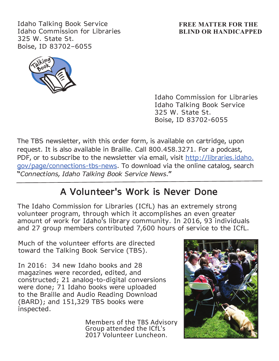Idaho Talking Book Service Idaho Commission for Libraries 325 W. State St. Boise, ID 83702–6055

#### **FREE MATTER FOR THE BLIND OR HANDICAPPED**



Idaho Commission for Libraries Idaho Talking Book Service 325 W. State St. Boise, ID 83702-6055

The TBS newsletter, with this order form, is available on cartridge, upon request. It is also available in Braille. Call 800.458.3271. For a podcast, PDF, or to subscribe to the newsletter via email, visit http://libraries.idaho. gov/page/connections-tbs-news. To download via the online catalog, search "*Connections, Idaho Talking Book Service News*."

### **A Volunteer's Work is Never Done**

The Idaho Commission for Libraries (ICfL) has an extremely strong volunteer program, through which it accomplishes an even greater amount of work for Idaho's library community. In 2016, 93 individuals and 27 group members contributed 7,600 hours of service to the ICfL.

Much of the volunteer efforts are directed toward the Talking Book Service (TBS).

In 2016: 34 new Idaho books and 28 magazines were recorded, edited, and constructed; 21 analog-to-digital conversions were done; 71 Idaho books were uploaded to the Braille and Audio Reading Download (BARD); and 151,329 TBS books were inspected.

> Members of the TBS Advisory Group attended the ICfL's 2017 Volunteer Luncheon.

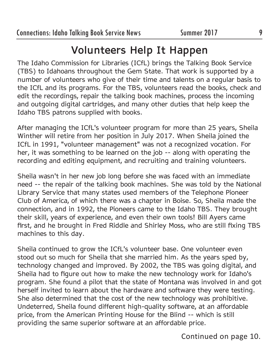## **Volunteers Help It Happen**

The Idaho Commission for Libraries (ICfL) brings the Talking Book Service (TBS) to Idahoans throughout the Gem State. That work is supported by a number of volunteers who give of their time and talents on a regular basis to the ICfL and its programs. For the TBS, volunteers read the books, check and edit the recordings, repair the talking book machines, process the incoming and outgoing digital cartridges, and many other duties that help keep the Idaho TBS patrons supplied with books.

After managing the ICfL's volunteer program for more than 25 years, Sheila Winther will retire from her position in July 2017. When Sheila joined the ICfL in 1991, "volunteer management" was not a recognized vocation. For her, it was something to be learned on the job -- along with operating the recording and editing equipment, and recruiting and training volunteers.

Sheila wasn't in her new job long before she was faced with an immediate need -- the repair of the talking book machines. She was told by the National Library Service that many states used members of the Telephone Pioneer Club of America, of which there was a chapter in Boise. So, Sheila made the connection, and in 1992, the Pioneers came to the Idaho TBS. They brought their skill, years of experience, and even their own tools! Bill Ayers came first, and he brought in Fred Riddle and Shirley Moss, who are still fixing TBS machines to this day.

Sheila continued to grow the ICfL's volunteer base. One volunteer even stood out so much for Sheila that she married him. As the years sped by, technology changed and improved. By 2002, the TBS was going digital, and Sheila had to figure out how to make the new technology work for Idaho's program. She found a pilot that the state of Montana was involved in and got herself invited to learn about the hardware and software they were testing. She also determined that the cost of the new technology was prohibitive. Undeterred, Sheila found different high-quality software, at an affordable price, from the American Printing House for the Blind -- which is still providing the same superior software at an affordable price.

Continued on page 10.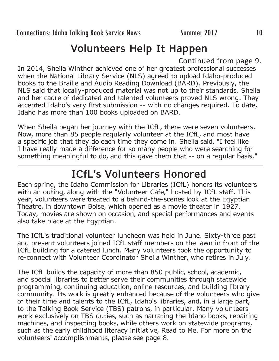# **Volunteers Help It Happen**

Continued from page 9.

In 2014, Sheila Winther achieved one of her greatest professional successes when the National Library Service (NLS) agreed to upload Idaho-produced books to the Braille and Audio Reading Download (BARD). Previously, the NLS said that locally-produced material was not up to their standards. Sheila and her cadre of dedicated and talented volunteers proved NLS wrong. They accepted Idaho's very first submission -- with no changes required. To date, Idaho has more than 100 books uploaded on BARD.

When Sheila began her journey with the ICfL, there were seven volunteers. Now, more than 85 people regularly volunteer at the ICfL, and most have a specific job that they do each time they come in. Sheila said, "I feel like I have really made a difference for so many people who were searching for something meaningful to do, and this gave them that -- on a regular basis."

# **ICfL's Volunteers Honored**

Each spring, the Idaho Commission for Libraries (ICfL) honors its volunteers with an outing, along with the "Volunteer Cafe," hosted by ICfL staff. This year, volunteers were treated to a behind-the-scenes look at the Egyptian Theatre, in downtown Boise, which opened as a movie theater in 1927. Today, movies are shown on occasion, and special performances and events also take place at the Egyptian.

The ICfL's traditional volunteer luncheon was held in June. Sixty-three past and present volunteers joined ICfL staff members on the lawn in front of the ICfL building for a catered lunch. Many volunteers took the opportunity to re-connect with Volunteer Coordinator Sheila Winther, who retires in July.

The ICfL builds the capacity of more than 850 public, school, academic, and special libraries to better serve their communities through statewide programming, continuing education, online resources, and building library community. Its work is greatly enhanced because of the volunteers who give of their time and talents to the ICfL, Idaho's libraries, and, in a large part, to the Talking Book Service (TBS) patrons, in particular. Many volunteers work exclusively on TBS duties, such as narrating the Idaho books, repairing machines, and inspecting books, while others work on statewide programs, such as the early childhood literacy initiative, Read to Me. For more on the volunteers' accomplishments, please see page 8.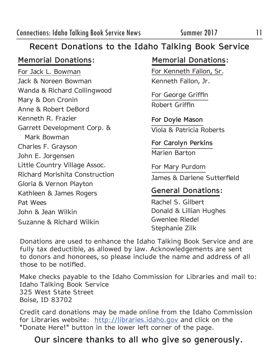#### **Recent Donations to the Idaho Talking Book Service**

For Jack L. Bowman Jack & Noreen Bowman Wanda & Richard Collingwood Mary & Don Cronin Anne & Robert DeBord Kenneth R. Frazier Garrett Development Corp. & Mark Bowman Charles F. Grayson John E. Jorgensen Little Country Village Assoc. Richard Morishita Construction Gloria & Vernon Playton Kathleen & James Rogers Pat Wees John & Jean Wilkin Suzanne & Richard Wilkin

#### **Memorial Donations: Memorial Donations:**

For Kenneth Fallon, Sr. Kenneth Fallon, Jr.

For George Griffin Robert Griffin

**For Doyle Mason** Viola & Patricia Roberts

**For Carolyn Perkins** Marien Barton

For Mary Purdom James & Darlene Sutterfield

#### **General Donations:**

Rachel S. Gilbert Donald & Lillian Hughes Gwenlee Riedel Stephanie Zilk

Donations are used to enhance the Idaho Talking Book Service and are fully tax deductible, as allowed by law. Acknowledgements are sent to donors and honorees, so please include the name and address of all those to be notified.

Make checks payable to the Idaho Commission for Libraries and mail to: Idaho Talking Book Service 325 West State Street Boise, ID 83702

Credit card donations may be made online from the Idaho Commission for Libraries website: http://libraries.idaho.gov and click on the "Donate Here!" button in the lower left corner of the page.

### **Our sincere thanks to all who give so generously.**